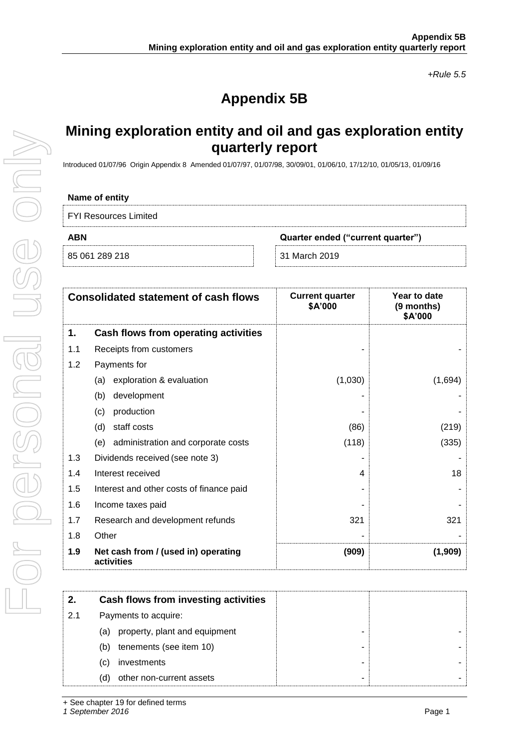*+Rule 5.5*

# **Appendix 5B**

## **Mining exploration entity and oil and gas exploration entity quarterly report**

Introduced 01/07/96 Origin Appendix 8 Amended 01/07/97, 01/07/98, 30/09/01, 01/06/10, 17/12/10, 01/05/13, 01/09/16

### **Name of entity**

FYI Resources Limited

|  | 85 061 289 218 |  |
|--|----------------|--|

**ABN Quarter ended ("current quarter")**

85 061 289 218 31 March 2019

|     | <b>Consolidated statement of cash flows</b>       | <b>Current quarter</b><br>\$A'000 | Year to date<br>(9 months)<br>\$A'000 |
|-----|---------------------------------------------------|-----------------------------------|---------------------------------------|
| 1.  | Cash flows from operating activities              |                                   |                                       |
| 1.1 | Receipts from customers                           |                                   |                                       |
| 1.2 | Payments for                                      |                                   |                                       |
|     | exploration & evaluation<br>(a)                   | (1,030)                           | (1,694)                               |
|     | development<br>(b)                                |                                   |                                       |
|     | production<br>(c)                                 |                                   |                                       |
|     | staff costs<br>(d)                                | (86)                              | (219)                                 |
|     | (e) administration and corporate costs            | (118)                             | (335)                                 |
| 1.3 | Dividends received (see note 3)                   |                                   |                                       |
| 1.4 | Interest received                                 | 4                                 | 18                                    |
| 1.5 | Interest and other costs of finance paid          |                                   |                                       |
| 1.6 | Income taxes paid                                 |                                   |                                       |
| 1.7 | Research and development refunds                  | 321                               | 321                                   |
| 1.8 | Other                                             |                                   |                                       |
| 1.9 | Net cash from / (used in) operating<br>activities | (909)                             | (1,909)                               |

| 2.  | Cash flows from investing activities |  |
|-----|--------------------------------------|--|
| 2.1 | Payments to acquire:                 |  |
|     | property, plant and equipment<br>(a) |  |
|     | tenements (see item 10)<br>(b)       |  |
|     | investments<br>(C)                   |  |
|     | other non-current assets<br>(d)      |  |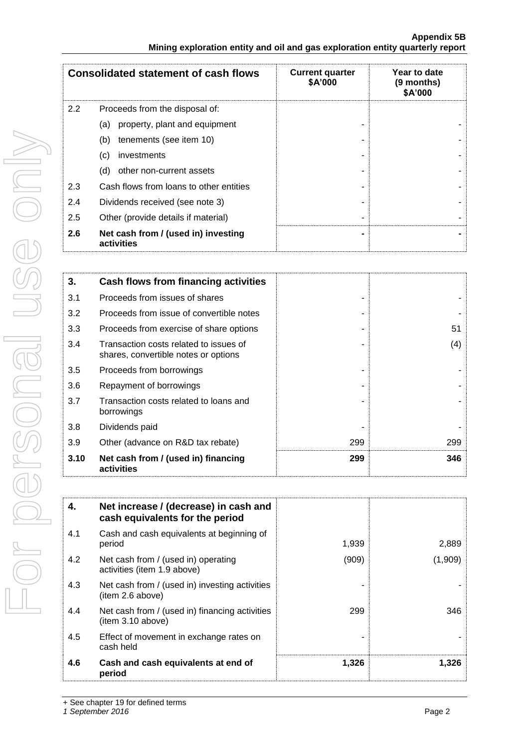|     | <b>Consolidated statement of cash flows</b>       | <b>Current quarter</b><br>\$A'000 | Year to date<br>(9 months)<br>\$A'000 |
|-----|---------------------------------------------------|-----------------------------------|---------------------------------------|
| 2.2 | Proceeds from the disposal of:                    |                                   |                                       |
|     | property, plant and equipment<br>(a)              |                                   |                                       |
|     | tenements (see item 10)<br>(b)                    |                                   |                                       |
|     | (c)<br>investments                                |                                   |                                       |
|     | (d)<br>other non-current assets                   |                                   |                                       |
| 2.3 | Cash flows from loans to other entities           |                                   |                                       |
| 2.4 | Dividends received (see note 3)                   |                                   |                                       |
| 2.5 | Other (provide details if material)               |                                   |                                       |
| 2.6 | Net cash from / (used in) investing<br>activities |                                   |                                       |

| 3.   | Cash flows from financing activities                                           |     |     |
|------|--------------------------------------------------------------------------------|-----|-----|
| 3.1  | Proceeds from issues of shares                                                 |     |     |
| 3.2  | Proceeds from issue of convertible notes                                       |     |     |
| 3.3  | Proceeds from exercise of share options                                        |     | 51  |
| 3.4  | Transaction costs related to issues of<br>shares, convertible notes or options |     | (4) |
| 3.5  | Proceeds from borrowings                                                       |     |     |
| 3.6  | Repayment of borrowings                                                        |     |     |
| 3.7  | Transaction costs related to loans and<br>borrowings                           |     |     |
| 3.8  | Dividends paid                                                                 |     |     |
| 3.9  | Other (advance on R&D tax rebate)                                              | 299 | 299 |
| 3.10 | Net cash from / (used in) financing<br>activities                              | 299 | 346 |

| 4.  | Net increase / (decrease) in cash and<br>cash equivalents for the period |       |         |
|-----|--------------------------------------------------------------------------|-------|---------|
| 4.1 | Cash and cash equivalents at beginning of<br>period                      | 1,939 | 2,889   |
| 4.2 | Net cash from / (used in) operating<br>activities (item 1.9 above)       | (909) | (1,909) |
| 4.3 | Net cash from / (used in) investing activities<br>(item 2.6 above)       |       |         |
| 4.4 | Net cash from / (used in) financing activities<br>(item 3.10 above)      | 299   | 346     |
| 4.5 | Effect of movement in exchange rates on<br>cash held                     |       |         |
| 4.6 | Cash and cash equivalents at end of<br>period                            | 1,326 | 1,326   |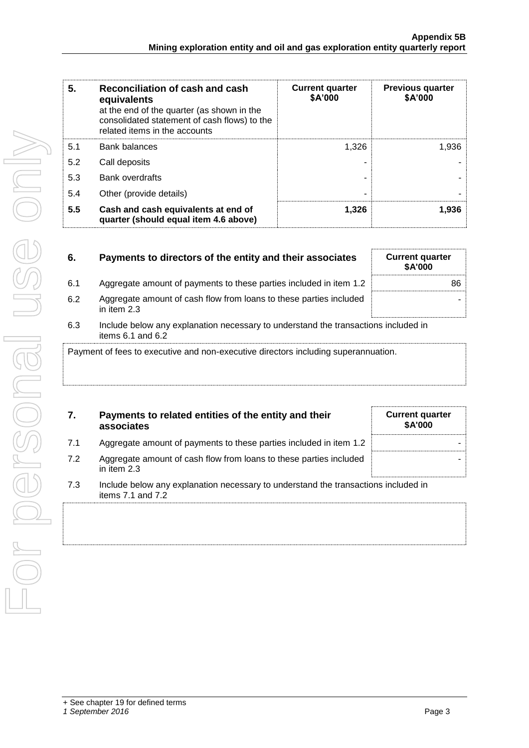| 5.  | Reconciliation of cash and cash<br>equivalents<br>at the end of the quarter (as shown in the<br>consolidated statement of cash flows) to the<br>related items in the accounts | <b>Current quarter</b><br>\$A'000 | <b>Previous quarter</b><br>\$A'000 |
|-----|-------------------------------------------------------------------------------------------------------------------------------------------------------------------------------|-----------------------------------|------------------------------------|
| 5.1 | <b>Bank balances</b>                                                                                                                                                          | 1.326                             | 1,936                              |
| 5.2 | Call deposits                                                                                                                                                                 |                                   |                                    |
| 5.3 | <b>Bank overdrafts</b>                                                                                                                                                        |                                   |                                    |
| 5.4 | Other (provide details)                                                                                                                                                       | ۰                                 |                                    |
| 5.5 | Cash and cash equivalents at end of<br>quarter (should equal item 4.6 above)                                                                                                  | 1.326                             | 1,936                              |

| 6.                                                                                 | Payments to directors of the entity and their associates                                                    | <b>Current quarter</b><br><b>\$A'000</b> |
|------------------------------------------------------------------------------------|-------------------------------------------------------------------------------------------------------------|------------------------------------------|
| 6.1                                                                                | Aggregate amount of payments to these parties included in item 1.2                                          | 86                                       |
| 6.2                                                                                | Aggregate amount of cash flow from loans to these parties included<br>in item $2.3$                         |                                          |
| 6.3                                                                                | Include below any explanation necessary to understand the transactions included in<br>items $6.1$ and $6.2$ |                                          |
| Payment of fees to executive and non-executive directors including superannuation. |                                                                                                             |                                          |

| 7.  | Payments to related entities of the entity and their<br>associates                                          | <b>Current quarter</b><br><b>\$A'000</b> |
|-----|-------------------------------------------------------------------------------------------------------------|------------------------------------------|
| 7.1 | Aggregate amount of payments to these parties included in item 1.2                                          |                                          |
| 7.2 | Aggregate amount of cash flow from loans to these parties included<br>in item $2.3$                         |                                          |
| 7.3 | Include below any explanation necessary to understand the transactions included in<br>items $7.1$ and $7.2$ |                                          |
|     |                                                                                                             |                                          |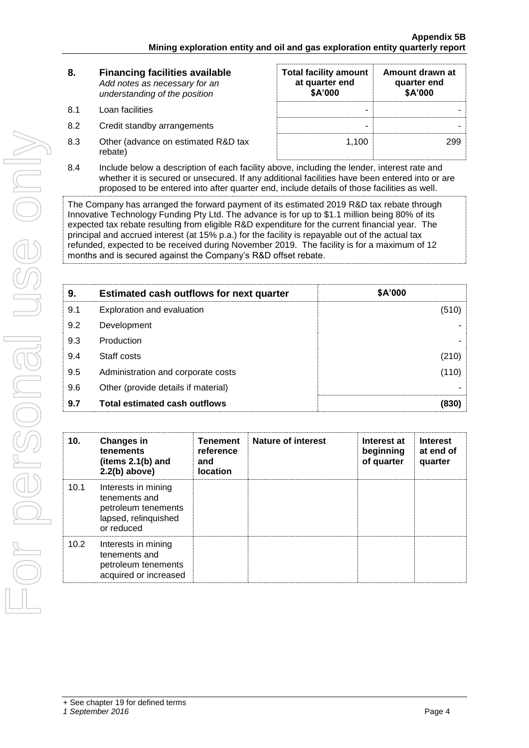| 8. | <b>Financing facilities available</b> |
|----|---------------------------------------|
|    | Add notes as necessary for an         |
|    | understanding of the position         |

- 8.1 Loan facilities
- 8.2 Credit standby arrangements
- 8.3 Other (advance on estimated R&D tax rebate)

| <b>Total facility amount</b><br>at quarter end<br>\$A'000 | Amount drawn at<br>quarter end<br>\$A'000 |
|-----------------------------------------------------------|-------------------------------------------|
|                                                           |                                           |
|                                                           |                                           |
| 1.100                                                     |                                           |

8.4 Include below a description of each facility above, including the lender, interest rate and whether it is secured or unsecured. If any additional facilities have been entered into or are proposed to be entered into after quarter end, include details of those facilities as well.

The Company has arranged the forward payment of its estimated 2019 R&D tax rebate through Innovative Technology Funding Pty Ltd. The advance is for up to \$1.1 million being 80% of its expected tax rebate resulting from eligible R&D expenditure for the current financial year. The principal and accrued interest (at 15% p.a.) for the facility is repayable out of the actual tax refunded, expected to be received during November 2019. The facility is for a maximum of 12 months and is secured against the Company's R&D offset rebate.

| 9.  | <b>Estimated cash outflows for next quarter</b> | \$A'000 |
|-----|-------------------------------------------------|---------|
| 9.1 | Exploration and evaluation                      | (510)   |
| 9.2 | Development                                     |         |
| 9.3 | Production                                      |         |
| 9.4 | Staff costs                                     | (210)   |
| 9.5 | Administration and corporate costs              | (110)   |
| 9.6 | Other (provide details if material)             |         |
| 9.7 | <b>Total estimated cash outflows</b>            | (830)   |

| 10.  | <b>Changes in</b><br>tenements<br>(items $2.1(b)$ and<br>$2.2(b)$ above)                          | <b>Tenement</b><br>reference<br>and<br><b>location</b> | Nature of interest | Interest at<br>beginning<br>of quarter | <b>Interest</b><br>at end of<br>quarter |
|------|---------------------------------------------------------------------------------------------------|--------------------------------------------------------|--------------------|----------------------------------------|-----------------------------------------|
| 10.1 | Interests in mining<br>tenements and<br>petroleum tenements<br>lapsed, relinquished<br>or reduced |                                                        |                    |                                        |                                         |
| 10.2 | Interests in mining<br>tenements and<br>petroleum tenements<br>acquired or increased              |                                                        |                    |                                        |                                         |